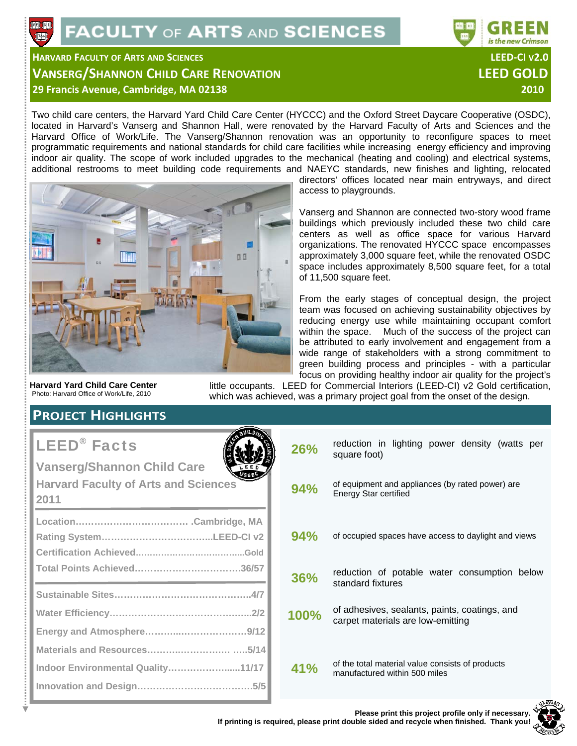

## **HARVARD FACULTY OF ARTS AND SCIENCES LEED‐CI V2.0 VANSERG/SHANNON CHILD CARE RENOVATION LEED GOLD 29 Francis Avenue, Cambridge, MA 02138 2010 2010 2010 2010**

Two child care centers, the Harvard Yard Child Care Center (HYCCC) and the Oxford Street Daycare Cooperative (OSDC), located in Harvard's Vanserg and Shannon Hall, were renovated by the Harvard Faculty of Arts and Sciences and the Harvard Office of Work/Life. The Vanserg/Shannon renovation was an opportunity to reconfigure spaces to meet programmatic requirements and national standards for child care facilities while increasing energy efficiency and improving indoor air quality. The scope of work included upgrades to the mechanical (heating and cooling) and electrical systems, additional restrooms to meet building code requirements and NAEYC standards, new finishes and lighting, relocated



directors' offices located near main entryways, and direct access to playgrounds.

Vanserg and Shannon are connected two-story wood frame buildings which previously included these two child care centers as well as office space for various Harvard organizations. The renovated HYCCC space encompasses approximately 3,000 square feet, while the renovated OSDC space includes approximately 8,500 square feet, for a total of 11,500 square feet.

From the early stages of conceptual design, the project team was focused on achieving sustainability objectives by reducing energy use while maintaining occupant comfort within the space. Much of the success of the project can be attributed to early involvement and engagement from a wide range of stakeholders with a strong commitment to green building process and principles - with a particular focus on providing healthy indoor air quality for the project's

**Harvard Yard Child Care Center**  Photo: Harvard Office of Work/Life, 2010

little occupants. LEED for Commercial Interiors (LEED-CI) v2 Gold certification, which was achieved, was a primary project goal from the onset of the design.

## **PROJECT HIGHLIGHTS**

# LEED® Facts

**Vanserg/Shannon Child Care Harvard Faculty of Arts and Sciences 2011 Location……………………………… .Cambridge, MA Rating System……………………………...LEED-CI v2 Certification Achieved………………………………...Gold Total Points Achieved…………………………….36/57 Sustainable Sites……………………………………..4/7 Water Efficiency………………………………….…...2/2 Energy and Atmosphere………...…………………9/12 Materials and Resources………..………….… …..5/14 Indoor Environmental Quality………………......11/17 Innovation and Design……………………………….5/5**



| 26%  | reduction in lighting power density (watts per<br>square foot)                     |  |  |
|------|------------------------------------------------------------------------------------|--|--|
| 94%  | of equipment and appliances (by rated power) are<br><b>Energy Star certified</b>   |  |  |
| 94%  | of occupied spaces have access to daylight and views                               |  |  |
| 36%  | reduction of potable water consumption below<br>standard fixtures                  |  |  |
| 100% | of adhesives, sealants, paints, coatings, and<br>carpet materials are low-emitting |  |  |
| 41%  | of the total material value consists of products<br>manufactured within 500 miles  |  |  |

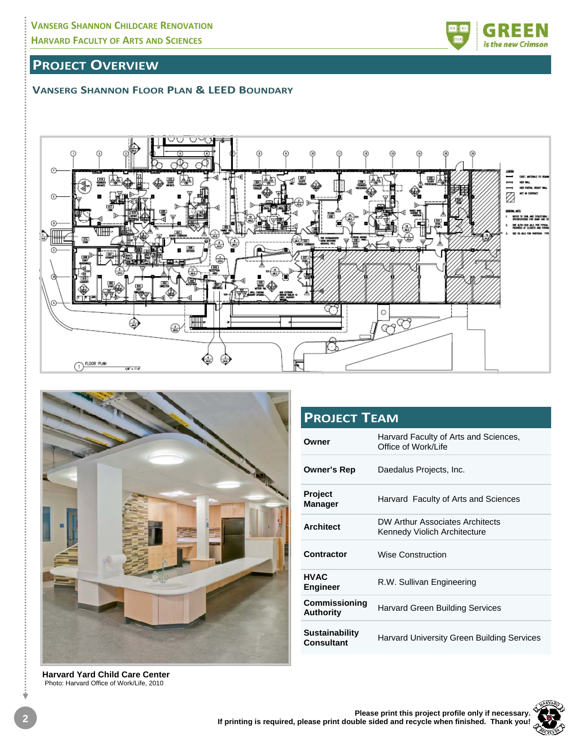## **PROJECT OVERVIEW**

### **VANSERG SHANNON FLOOR PLAN & LEED BOUNDARY**





| <b>PROJECT TEAM</b>                      |                                                                 |  |  |  |  |
|------------------------------------------|-----------------------------------------------------------------|--|--|--|--|
| Owner                                    | Harvard Faculty of Arts and Sciences,<br>Office of Work/Life    |  |  |  |  |
| Owner's Rep                              | Daedalus Projects, Inc.                                         |  |  |  |  |
| <b>Project</b><br><b>Manager</b>         | Harvard Faculty of Arts and Sciences                            |  |  |  |  |
| <b>Architect</b>                         | DW Arthur Associates Architects<br>Kennedy Violich Architecture |  |  |  |  |
| Contractor                               | <b>Wise Construction</b>                                        |  |  |  |  |
| <b>HVAC</b><br><b>Engineer</b>           | R.W. Sullivan Engineering                                       |  |  |  |  |
| <b>Commissioning</b><br><b>Authority</b> | <b>Harvard Green Building Services</b>                          |  |  |  |  |
| <b>Sustainability</b><br>Consultant      | Harvard University Green Building Services                      |  |  |  |  |

**Harvard Yard Child Care Center**  Photo: Harvard Office of Work/Life, 2010





Ý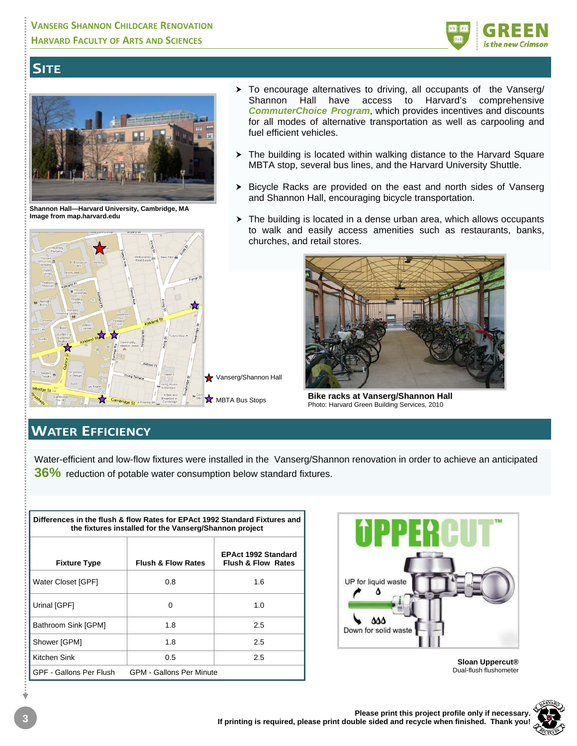

## **SITE**



**Shannon Hall—Harvard University, Cambridge, MA Image from map.harvard.edu**



- > To encourage alternatives to driving, all occupants of the Vanserg/ Shannon Hall have access to Harvard's comprehensive *CommuterChoice Program*, which provides incentives and discounts for all modes of alternative transportation as well as carpooling and fuel efficient vehicles.
- > The building is located within walking distance to the Harvard Square MBTA stop, several bus lines, and the Harvard University Shuttle.
- > Bicycle Racks are provided on the east and north sides of Vanserg and Shannon Hall, encouraging bicycle transportation.
- > The building is located in a dense urban area, which allows occupants to walk and easily access amenities such as restaurants, banks, churches, and retail stores.



**Bike racks at Vanserg/Shannon Hall**  Photo: Harvard Green Building Services, 2010

## **WATER EFFICIENCY**

Water-efficient and low-flow fixtures were installed in the Vanserg/Shannon renovation in order to achieve an anticipated **36%** reduction of potable water consumption below standard fixtures.

| Differences in the flush & flow Rates for EPAct 1992 Standard Fixtures and<br>the fixtures installed for the Vanserg/Shannon project |                               |                                                             |  |  |  |  |
|--------------------------------------------------------------------------------------------------------------------------------------|-------------------------------|-------------------------------------------------------------|--|--|--|--|
| <b>Fixture Type</b>                                                                                                                  | <b>Flush &amp; Flow Rates</b> | <b>EPAct 1992 Standard</b><br><b>Flush &amp; Flow Rates</b> |  |  |  |  |
| Water Closet [GPF]                                                                                                                   | 0.8                           | 1.6                                                         |  |  |  |  |
| Urinal [GPF]                                                                                                                         | 0                             | 1.0                                                         |  |  |  |  |
| Bathroom Sink [GPM]                                                                                                                  | 1.8                           | 2.5                                                         |  |  |  |  |
| Shower [GPM]                                                                                                                         | 1.8                           | 2.5                                                         |  |  |  |  |
| Kitchen Sink                                                                                                                         | 0.5                           | 2.5                                                         |  |  |  |  |
| GPF - Gallons Per Flush<br><b>GPM - Gallons Per Minute</b>                                                                           |                               |                                                             |  |  |  |  |



**Sloan Uppercut®**  Dual-flush flushometer

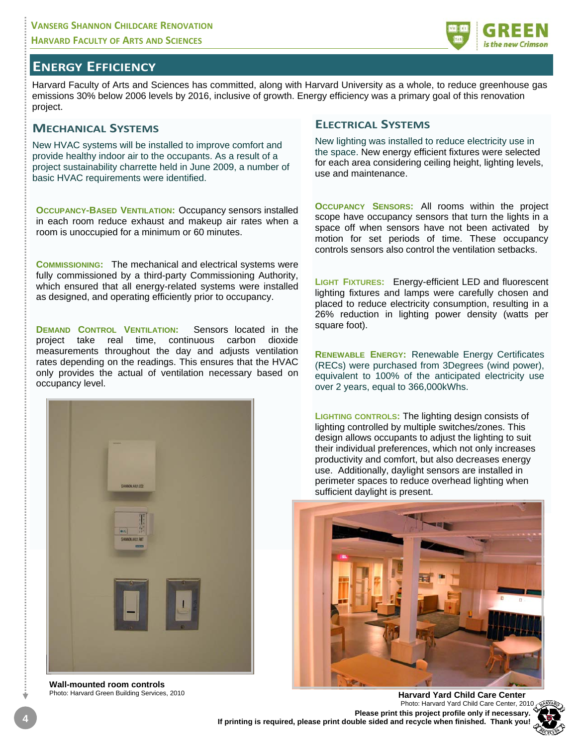

Harvard Faculty of Arts and Sciences has committed, along with Harvard University as a whole, to reduce greenhouse gas emissions 30% below 2006 levels by 2016, inclusive of growth. Energy efficiency was a primary goal of this renovation project.

#### **MECHANICAL SYSTEMS**

New HVAC systems will be installed to improve comfort and provide healthy indoor air to the occupants. As a result of a project sustainability charrette held in June 2009, a number of basic HVAC requirements were identified.

**OCCUPANCY-BASED VENTILATION: Occupancy sensors installed** in each room reduce exhaust and makeup air rates when a room is unoccupied for a minimum or 60 minutes.

**COMMISSIONING:** The mechanical and electrical systems were fully commissioned by a third-party Commissioning Authority, which ensured that all energy-related systems were installed as designed, and operating efficiently prior to occupancy.

**DEMAND CONTROL VENTILATION:** Sensors located in the project take real time, continuous carbon dioxide measurements throughout the day and adjusts ventilation rates depending on the readings. This ensures that the HVAC only provides the actual of ventilation necessary based on occupancy level.



**Wall-mounted room controls** 

#### **ELECTRICAL SYSTEMS**

New lighting was installed to reduce electricity use in the space. New energy efficient fixtures were selected for each area considering ceiling height, lighting levels, use and maintenance.

**OCCUPANCY SENSORS:** All rooms within the project scope have occupancy sensors that turn the lights in a space off when sensors have not been activated by motion for set periods of time. These occupancy controls sensors also control the ventilation setbacks.

**LIGHT FIXTURES:** Energy-efficient LED and fluorescent lighting fixtures and lamps were carefully chosen and placed to reduce electricity consumption, resulting in a 26% reduction in lighting power density (watts per square foot).

**RENEWABLE ENERGY:** Renewable Energy Certificates (RECs) were purchased from 3Degrees (wind power), equivalent to 100% of the anticipated electricity use over 2 years, equal to 366,000kWhs.

**LIGHTING CONTROLS:** The lighting design consists of lighting controlled by multiple switches/zones. This design allows occupants to adjust the lighting to suit their individual preferences, which not only increases productivity and comfort, but also decreases energy use. Additionally, daylight sensors are installed in perimeter spaces to reduce overhead lighting when sufficient daylight is present.



**4 Please print this project profile only if necessary. If printing is required, please print double sided and recycle when finished. Thank you! Harvard Yard Child Care Center** Photo: Harvard Yard Child Care Center, 2010

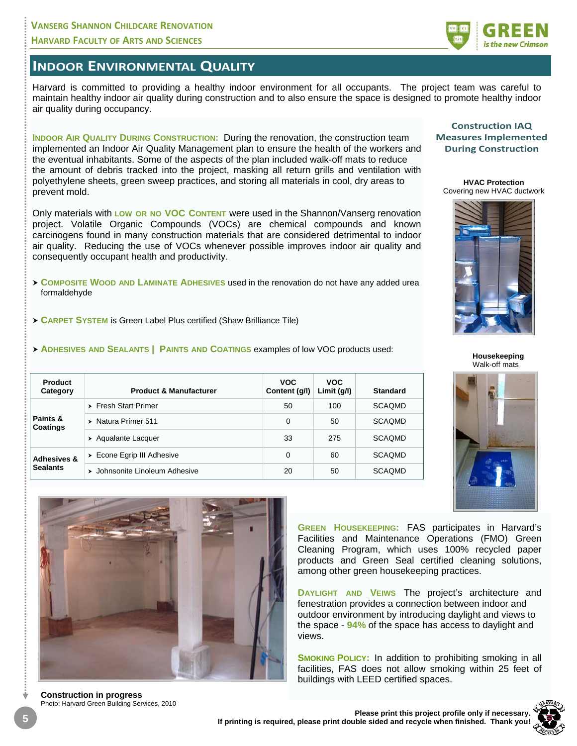## **VANSERG SHANNON CHILDCARE RENOVATION HARVARD FACULTY OF ARTS AND SCIENCES**

### **INDOOR ENVIRONMENTAL QUALITY**

Harvard is committed to providing a healthy indoor environment for all occupants. The project team was careful to maintain healthy indoor air quality during construction and to also ensure the space is designed to promote healthy indoor air quality during occupancy.

**INDOOR AIR QUALITY DURING CONSTRUCTION: During the renovation, the construction team** implemented an Indoor Air Quality Management plan to ensure the health of the workers and the eventual inhabitants. Some of the aspects of the plan included walk-off mats to reduce the amount of debris tracked into the project, masking all return grills and ventilation with polyethylene sheets, green sweep practices, and storing all materials in cool, dry areas to prevent mold.

Only materials with **LOW OR NO VOC CONTENT** were used in the Shannon/Vanserg renovation project. Volatile Organic Compounds (VOCs) are chemical compounds and known carcinogens found in many construction materials that are considered detrimental to indoor air quality. Reducing the use of VOCs whenever possible improves indoor air quality and consequently occupant health and productivity.

- **COMPOSITE WOOD AND LAMINATE ADHESIVES** used in the renovation do not have any added urea formaldehyde
- **CARPET SYSTEM** is Green Label Plus certified (Shaw Brilliance Tile)
- **ADHESIVES AND SEALANTS | PAINTS AND COATINGS** examples of low VOC products used:

| Product<br>Category                       | <b>Product &amp; Manufacturer</b>          | <b>VOC</b><br>Content (g/l) | <b>VOC</b><br>Limit $(g/l)$ | <b>Standard</b> |
|-------------------------------------------|--------------------------------------------|-----------------------------|-----------------------------|-----------------|
| Paints &<br><b>Coatings</b>               | $\triangleright$ Fresh Start Primer        | 50                          | 100                         | <b>SCAOMD</b>   |
|                                           | Natura Primer 511<br>$\blacktriangleright$ | $\Omega$                    | 50                          | <b>SCAQMD</b>   |
|                                           | Aqualante Lacquer                          | 33                          | 275                         | <b>SCAQMD</b>   |
| <b>Adhesives &amp;</b><br><b>Sealants</b> | $\triangleright$ Econe Egrip III Adhesive  | 0                           | 60                          | <b>SCAOMD</b>   |
|                                           | Johnsonite Linoleum Adhesive<br>▸          | 20                          | 50                          | <b>SCAQMD</b>   |



**Construction in progress**  Photo: Harvard Green Building Services, 2010





**Construction IAQ Measures Implemented During Construction**

**HVAC Protection**  Covering new HVAC ductwork



**Housekeeping**  Walk-off mats



**GREEN HOUSEKEEPING:** FAS participates in Harvard's Facilities and Maintenance Operations (FMO) Green Cleaning Program, which uses 100% recycled paper products and Green Seal certified cleaning solutions, among other green housekeeping practices.

**DAYLIGHT AND VEIWS** The project's architecture and fenestration provides a connection between indoor and outdoor environment by introducing daylight and views to the space - **94%** of the space has access to daylight and views.

**SMOKING POLICY:** In addition to prohibiting smoking in all facilities, FAS does not allow smoking within 25 feet of buildings with LEED certified spaces.